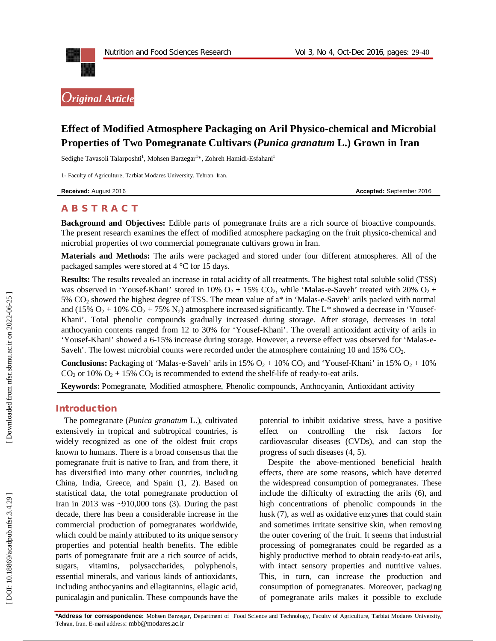

# *Original Article*

# **Effect of Modified Atmosphere Packaging on Aril Physico -chemical and Microbial Properties of Two Pomegranate Cultivars (***Punica granatum* **L.) Grown in Iran**

Sedighe Tavasoli Talarposhti<sup>1</sup>, Mohsen Barzegar<sup>1</sup>\*, Zohreh Hamidi-Esfahani<sup>1</sup>

1 - Faculty of Agriculture, Tarbiat Modares University, Tehran, Iran.

**Received:** August 201

6 **Accepted:** September 201 6

# **A B S T R A C T**

**Background and Objectives:** Edible parts of pomegranate fruits are a rich source of bioactive compounds. The present research examines the effect of modified atmosphere packaging on the fruit physico-chemical and microbial properties of two commercial pomegranate cultivars grown in Iran.

**Materials and Methods:** The arils were packaged and stored under four different atmospheres. All of the packaged samples were stored at 4 °C for 15 days.

**Results:** The results revealed an increase in total acidity of all treatments. The highest total soluble solid (TSS) was observed in 'Yousef-Khani' stored in 10%  $O_2 + 15\%$  CO<sub>2</sub>, while 'Malas-e-Saveh' treated with 20%  $O_2 +$ 5% CO<sub>2</sub> showed the highest degree of TSS. The mean value of a<sup>\*</sup> in 'Malas-e-Saveh' arils packed with normal and (15%  $O_2$  + 10%  $CO_2$  + 75%  $N_2$ ) atmosphere increased significantly. The L\* showed a decrease in 'Yousef-Khani'. Total phenolic compounds gradually increased during storage. After storage, decreases in total anthocyanin contents ranged from 12 to 30% for 'Yousef -Khani'. The overall antioxidant activity of arils in 'Yousef-Khani' showed a 6 -15% increase during storage. However, a reverse effect was observed for 'Malas - e - Saveh'. The lowest microbial counts were recorded under the atmosphere containing 10 and 15%  $CO<sub>2</sub>$ .

**Conclusions:** Packaging of 'Malas-e-Saveh' arils in  $15\%$   $O_2 + 10\%$  CO<sub>2</sub> and 'Yousef-Khani' in  $15\%$   $O_2 + 10\%$  $CO_2$  or 10%  $O_2$  + 15%  $CO_2$  is recommended to extend the shelf-life of ready-to-eat arils.

**Keywords:** Pomegranate, Modified atmosphere, Phenolic compounds, Anthocyanin, Antioxidant activity

#### **Introduction**

The pomegranate (*Punica granatum* L.), cultivated extensively in tropical and subtropical countries, is widely recognized as one of the oldest fruit crops known to humans. There is a broad consensus that the pomegranate fruit is native to Iran, and from there, it has diversified into many other countries, including China, India, Greece, and Spain (1, 2). Based on statistical data, the total pomegranate production of Iran in 2013 was  $\sim$ 910,000 tons (3). During the past decade, there has been a considerable increase in the commercial production of pomegranates worldwide, which could be mainly attributed to its unique sensory properties and potential health benefits. The edible parts of pomegranate fruit are a rich source of acids, sugars, vitamins, polysaccharides, polyphenols, essential minerals, and various kinds of antioxidants, including anthocyanins and ellagitannins, ellagic acid, punicalagin and punicalin. These compounds have the

potential to inhibit oxidative stress, have a positive effect on controlling the risk factors for cardiovascular diseases (CVDs), and can stop the progress of such diseases (4, 5).

Despite the above -mentioned beneficial health effects, there are some reasons, which have deterred the widespread consumption of pomegranates. These include the difficulty of extracting the arils (6), and high concentrations of phenolic compounds in the husk (7), as well as oxidative enzymes that could stain and sometimes irritate sensitive skin, when removing the outer covering of the fruit. It seems that industrial processing of pomegranates could be regarded as a highly productive method to obtain ready -to -eat arils, with intact sensory properties and nutritive values. This, in turn, can increase the production and consumption of pomegranates. Moreover, packaging of pomegranate arils makes it possible to exclude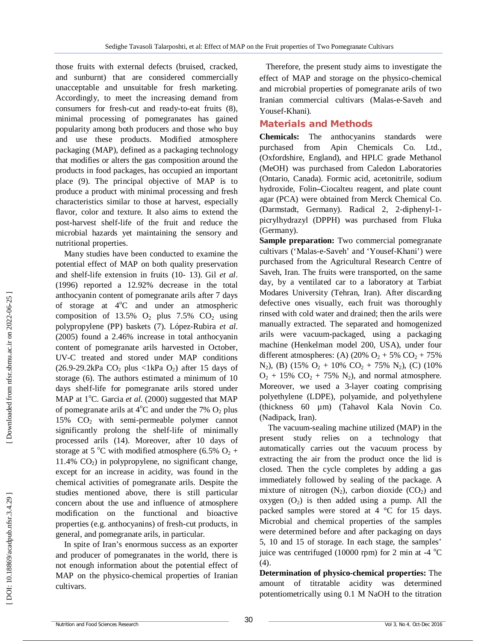those fruits with external defects (bruised, cracked, and sunburnt) that are considered commercially unacceptable and unsuitable for fresh marketing. Accordingly, to meet the increasing demand from consumers for fresh -cut and ready -to -eat fruits (8), minimal processing of pomegranates has gained popularity among both producers and those who buy and use these products. Modified atmosphere packaging (MAP), defined as a packaging technology that modifies or alters the gas composition around the products in food packages, has occupied an important place (9). The principal objective of MAP is to produce a product with minimal processing and fresh characteristics similar to those at harvest, especially flavor, color and texture. It also aims to extend the post -harvest shelf-life of the fruit and reduce the microbial hazards yet maintaining the sensory and nutritional properties.

Many studies have been conducted to examine the potential effect of MAP on both quality preservation and shelf-life extension in fruits (10 - 13). Gil *et al*. (1996) reported a 12.92% decrease in the total anthocyanin content of pomegranate arils after 7 days of storage at 4°C and under an atmospheric composition of 13.5%  $O_2$  plus 7.5%  $CO_2$  using polypropylene (PP) baskets (7). López -Rubira *et al*. (2005) found a 2.46% increase in total anthocyanin content of pomegranate arils harvested in October, UV -C treated and stored under MAP conditions  $(26.9-29.2kPa \ CO<sub>2</sub> plus  $\langle 1kPa \ O<sub>2</sub> \rangle$  after 15 days of$ storage (6). The authors estimated a minimum of 10 days shelf-life for pomegranate arils stored under MAP at 1°C. Garcia et al. (2000) suggested that MAP of pomegranate arils at  $4^{\circ}$ C and under the 7%  $O_2$  plus 15% CO <sup>2</sup> with semi -permeable polymer cannot significantly prolong the shelf-life of minimally processed arils (14). Moreover, after 10 days of storage at 5 °C with modified atmosphere (6.5%  $O_2$  + 11.4% CO <sup>2</sup>) in polypropylene, no significant change, except for an increase in acidity, was found in the chemical activities of pomegranate arils. Despite the studies mentioned above, there is still particular concern about the use and influence of atmosphere modification on the functional and bioactive properties (e.g. anthocyanins) of fresh -cut products, in general, and pomegranate arils, in particular.

In spite of Iran's enormous success as an exporter and producer of pomegranates in the world, there is not enough information about the potential effect of MAP on the physico -chemical properties of Iranian cultivars.

Therefore, the present study aims to investigate the effect of MAP and storage on the physico -chemical and microbial properties of pomegranate arils of two Iranian commercial cultivars (Malas-e-Saveh and Yousef-Khani) *.*

## **Material s and Methods**

**Chemicals:** The anthocyanins standards were purchased from Apin Chemicals Co. Ltd., (Oxfordshire, England), and HPLC grade Methanol (MeOH) was purchased from Caledon Laboratories (Ontario, Canada). Formic acid, acetonitrile, sodium hydroxide, Folin*–*Ciocalteu reagent, and plate count agar (PCA) were obtained from Merck Chemical Co. (Darmstadt, Germany). Radical 2, 2-diphenyl-1picrylhydrazyl (DPPH) was purchased from Fluka (Germany).

**Sample preparation:** Two commercial pomegranate cultivars ('Malas - e -Saveh' and 'Yousef -Khani' ) were purchased from the Agricultural Research Centre of Saveh, Iran. The fruits were transported, on the same day, by a ventilated car to a laboratory at Tarbiat Modares University (Tehran, Iran). After discarding defective ones visually, each fruit was thoroughly rinsed with cold water and drained; then the arils were manually extracted. The separated and homogenized arils were vacuum -packaged, using a packaging machine (Henkelman model 200, USA), under four different atmospheres: (A)  $(20\% \text{ O}_2 + 5\% \text{ CO}_2 + 75\%$  $N_2$ ), (B) (15%  $O_2$  + 10%  $CO_2$  + 75%  $N_2$ ), (C) (10%  $O_2$  + 15%  $CO_2$  + 75%  $N_2$ ), and normal atmosphere. Moreover, we used a 3 -layer coating comprising polyethylene (LDPE), polyamide, and polyethylene (thickness 60 µm) (Tahavol Kala Novin Co. (Nadipack, Iran).

The vacuum -sealing machine utilized (MAP) in the present study relies on a technology that automatically carries out the vacuum process by extracting the air from the product once the lid is closed. Then the cycle completes by adding a gas immediately followed by sealing of the package. A mixture of nitrogen  $(N_2)$ , carbon dioxide  $(CO_2)$  and oxygen  $(O_2)$  is then added using a pump. All the packed samples were stored at 4 °C for 15 days. Microbial and chemical properties of the samples were determined before and after packaging on days 5, 10 and 15 of storage. In each stage, the samples' juice was centrifuged (10000 rpm) for 2 min at -4  $^{\circ}$ C (4).

**Determination of physico -chemical properties:** The amount of titratable acidity was determined potentiometrically using 0.1 M NaOH to the titration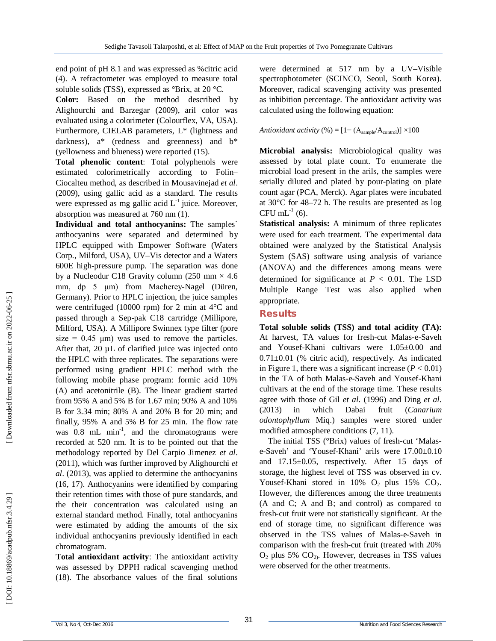end point of pH 8.1 and was expressed as %citric acid (4). A refractometer was employed to measure total soluble solids (TSS), expressed as °Brix, at 20 °C.

**Color :** Based on the method described by Alighourchi and Barzegar (2009), aril color was evaluated using a colorimeter (Colourflex, VA, USA). Furthermore, CIELAB parameters, L\* (lightness and darkness),  $a^*$  (redness and greenness) and  $b^*$ (yellowness and blueness) were reported (15).

**Total phenolic content**: Total polyphenols were estimated colorimetrically according to Folin– Ciocalteu method, as described in Mousavinejad *et al*. (2009), using gallic acid as a standard. The results were expressed as mg gallic acid  $L^{-1}$  juice. Moreover, absorption was measured at 760 nm (1).

**Individual and total anthocyanins:** The samples` anthocyanins were separated and determined by HPLC equipped with Empower Software (Waters Corp., Milford, USA), UV –Vis detector and a Waters 600E high -pressure pump. The separation was done by a Nucleodur C18 Gravity column (250 mm  $\times$  4.6 mm, dp 5 μm) from Macherey -Nagel (Düren, Germany). Prior to HPLC injection, the juice samples were centrifuged (10000 rpm) for 2 min at 4°C and passed through a Sep -pak C18 cartridge (Millipore, Milford, USA). A Millipore Swinnex type filter (pore size =  $0.45 \mu m$ ) was used to remove the particles. After that, 20  $\mu$ L of clarified juice was injected onto the HPLC with three replicates. The separations were performed using gradient HPLC method with the following mobile phase program: formic acid 10% (A) and acetonitrile (B). The linear gradient started from 95% A and 5% B for 1.67 min; 90% A and 10% B for 3.34 min; 80% A and 20% B for 20 min; and finally, 95% A and 5% B for 25 min. The flow rate was  $0.8$  mL min<sup>-1</sup>, and the chromatograms were recorded at 520 nm. It is to be pointed out that the methodology reported by Del Carpio Jimenez *et al*. (2011), which was further improved by Alighourchi *et al*. (2013), was applied to determine the anthocyanins (16, 17). Anthocyanins were identified by comparing their retention times with those of pure standards, and the their concentration was calculated using an external standard method. Finally, total anthocyanins were estimated by adding the amounts of the six individual anthocyanins previously identified in each chromatogram.

**Total antioxidant activity**: The antioxidant activity was assessed by DPPH radical scavenging method (18). The absorbance values of the final solutions

were determined at 517 nm by a UV –Visible spectrophotometer (SCINCO, Seoul, South Korea). Moreover, radical scavenging activity was presented as inhibition percentage. The antioxidant activity was calculated using the following equation:

*Antioxidant activity* (%) =  $[1-(A_{sample}/A_{control})] \times 100$ 

**Microbial analysis:** Microbiological quality was assessed by total plate count. To enumerate the microbial load present in the arils, the samples were serially diluted and plated by pour -plating on plate count agar (PCA, Merck). Agar plates were incubated at 30°C for 48 –72 h. The results are presented as log  $CFU$  mL<sup>-1</sup> (6).

**Statistical analysis:** A minimum of three replicates were used for each treatment. The experimental data obtained were analyzed by the Statistical Analysis System (SAS) software using analysis of variance (ANOVA) and the differences among means were determined for significance at  $P < 0.01$ . The LSD Multiple Range Test was also applied when appropriate.

# **Results**

**Total soluble solids (TSS) and total acidity (TA):**  At harvest, TA values for fresh -cut Malas - e -Saveh and Yousef-Khani cultivars were 1.05±0.00 and  $0.71 \pm 0.01$  (% citric acid), respectively. As indicated in Figure 1, there was a significant increase  $(P < 0.01)$ in the TA of both Malas - e -Saveh and Yousef -Khani cultivars at the end of the storage time. These results agree with those of Gil *et al*. (1996) and Ding *et al*. (2013) in which Dabai fruit (*Canarium odontophyllum* Miq.) samples were stored under modified atmosphere conditions (7, 11).

The initial TSS (°Brix) values of fresh -cut 'Malas e -Saveh' and 'Yousef-Khani' arils were 17.00±0.10 and 17.15±0.05, respectively. After 15 days of storage, the highest level of TSS was observed in cv. Yousef-Khani stored in  $10\%$  O<sub>2</sub> plus  $15\%$  CO<sub>2</sub>. However, the differences among the three treatments (A and C; A and B; and control) as compared to fresh -cut fruit were not statistically significant. At the end of storage time, no significant difference was observed in the TSS values of Malas - e -Saveh in comparison with the fresh -cut fruit (treated with 20%  $O_2$  plus 5%  $CO_2$ ). However, decreases in TSS values were observed for the other treatments.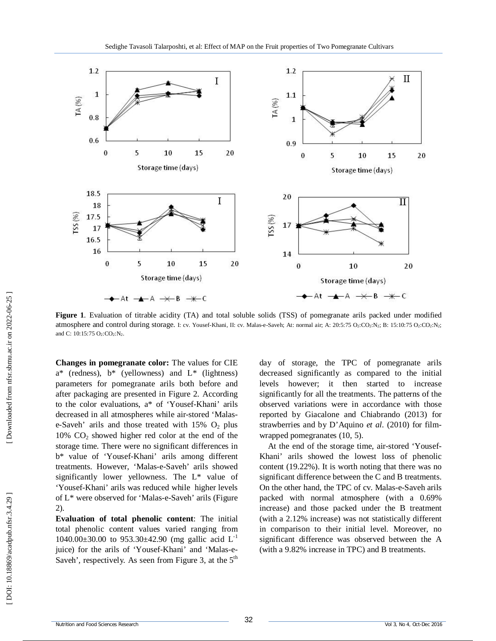

**Figure 1** . Evaluation of titrable acidity (TA) and total soluble solids (TSS) of pomegranate arils packed under modified atmosphere and control during storage. I: cv. Yousef-Khani, II: cv. Malas-e-Saveh; At: normal air; A: 20:5:75 O2:CO2:N2; B: 15:10:75 O2:CO2:N2; and C: 10:15:75  $O_2$ :CO<sub>2</sub>:N<sub>2</sub>.

**Changes in pomegranate color:** The values for CIE  $a^*$  (redness),  $b^*$  (yellowness) and  $L^*$  (lightness) parameters for pomegranate arils both before and after packaging are presented in Figure 2. According to the color evaluations, a\* of 'Yousef-Khani' arils decreased in all atmospheres while air -stored 'Malas e-Saveh' arils and those treated with  $15\%$  O<sub>2</sub> plus 10% CO <sup>2</sup> showed higher red color at the end of the storage time. There were no significant differences in b\* value of 'Yousef-Khani' arils among different treatments. However, 'Malas - e -Saveh' arils showed significantly lower yellowness. The L\* value of 'Yousef-Khani' arils was reduced while higher levels of L\* were observed for 'Malas - e -Saveh' arils (Figure 2).

**Evaluation of total phenolic content**: The initial total phenolic content values varied ranging from 1040.00 $\pm$ 30.00 to 953.30 $\pm$ 42.90 (mg gallic acid L<sup>-1</sup> juice) for the arils of 'Yousef-Khani' and 'Malas-e-Saveh<sup>'</sup>, respectively. As seen from Figure 3, at the 5<sup>th</sup>

day of storage, the TPC of pomegranate arils decreased significantly as compared to the initial levels however; it then started to increase significantly for all the treatments. The patterns of the observed variations were in accordance with those reported by Giacalone and Chiabrando (2013) for strawberries and by D'Aquino *et al*. (2010) for film wrapped pomegranates (10, 5).

At the end of the storage time, air -stored 'Yousef-Khani' arils showed the lowest loss of phenolic content (19.22%). It is worth noting that there was no significant difference between the C and B treatments. On the other hand, the TPC of cv. Malas - e -Saveh arils packed with normal atmosphere (with a 0.69% increase) and those packed under the B treatment (with a 2.12% increase) was not statistically different in comparison to their initial level. Moreover, no significant difference was observed between the A (with a 9.82% increase in TPC) and B treatments.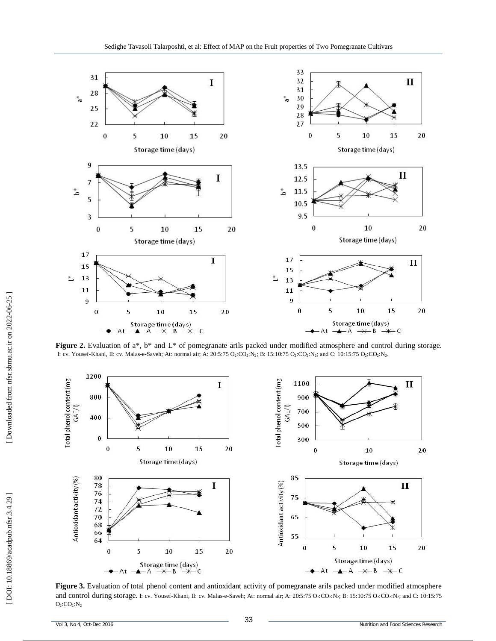

**Figure 2.** Evaluation of a<sup>\*</sup>, b<sup>\*</sup> and L<sup>\*</sup> of pomegranate arils packed under modified atmosphere and control during storage. I: cv. Yousef-Khani, II: cv. Malas-e-Saveh; At: normal air; A: 20:5:75 O<sub>2</sub>:CO<sub>2</sub>:N<sub>2</sub>; B: 15:10:75 O<sub>2</sub>:CO<sub>2</sub>:N<sub>2</sub>; and C: 10:15:75 O<sub>2</sub>:CO<sub>2</sub>:N<sub>2</sub>.



**Figure 3.** Evaluation of total phenol content and antioxidant activity of pomegranate arils packed under modified atmosphere and control during storage. I: cv. Yousef-Khani, II: cv. Malas-e-Saveh; At: normal air; A: 20:5:75 O2:CO2:N2; B: 15:10:75 O2:CO2:N2; and C: 10:15:75  $O_2$ :C $O_2$ :N<sub>2</sub>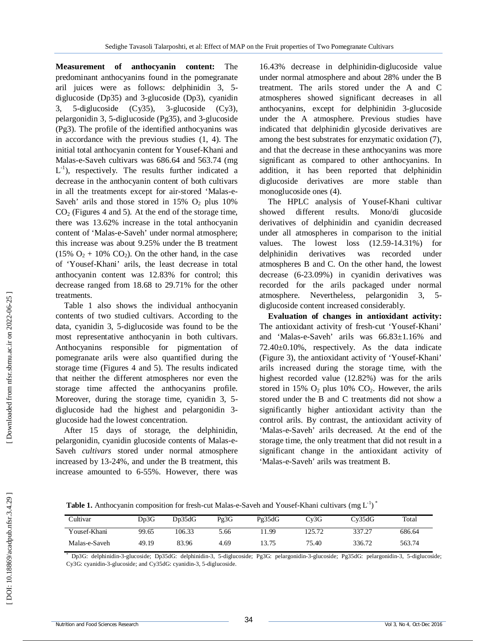**Measurement of anthocyanin content:** The predominant anthocyanins found in the pomegranate aril juices were as follows: delphinidin 3, 5 diglucoside (Dp35) and 3 -glucoside (Dp3), cyanidin  $3.$  $5$ -diglucoside  $(Cy35)$ ,  $3$ -glucoside  $(Cy3)$ , pelargonidin 3, 5 -diglucoside (Pg35), and 3 -glucoside (Pg3). The profile of the identified anthocyanins was in accordance with the previous studies (1, 4). The initial total anthocyanin content for Yousef-Khani and Malas - e -Saveh cultivars was 686.64 and 563.74 (mg  $L^{-1}$ ), respectively. The results further indicated a decrease in the anthocyanin content of both cultivars in all the treatments except for air-stored 'Malas-e-Saveh' arils and those stored in 15% O<sub>2</sub> plus 10% CO <sup>2</sup> (Figures 4 and 5)*.* At the end of the storage time, there was 13.62% increase in the total anthocyanin content of 'Malas - e -Saveh' under normal atmosphere; this increase was about 9.25% under the B treatment  $(15\% \text{ O}_2 + 10\% \text{ CO}_2)$ . On the other hand, in the case of 'Yousef-Khani' arils, the least decrease in total anthocyanin content was 12.83% for control; this decrease ranged from 18.68 to 29.71% for the other treatments.

Table 1 also shows the individual anthocyanin contents of two studied cultivars. According to the data, cyanidin 3, 5 -diglucoside was found to be the most representative anthocyanin in both cultivars. Anthocyanins responsible for pigmentation of pomegranate arils were also quantified during the storage time (Figures 4 and 5). The results indicated that neither the different atmospheres nor even the storage time affected the anthocyanins profile. Moreover, during the storage time, cyanidin 3, 5 diglucoside had the highest and pelargonidin 3 glucoside had the lowest concentration.

After 15 days of storage, the delphinidin, pelargonidin, cyanidin glucoside contents of Malas-e-Saveh *cultivars* stored under normal atmosphere increased by 13 -24%, and under the B treatment, this increase amounted to 6 -55%. However, there was

16.43% decrease in delphinidin -diglucoside value under normal atmosphere and about 28% under the B treatment. The arils stored under the A and C atmospheres showed significant decreases in all anthocyanins, except for delphinidin 3 -glucoside under the A atmosphere. Previous studies have indicated that delphinidin glycoside derivatives are among the best substrates for enzymatic oxidation (7), and that the decrease in these anthocyanins was more significant as compared to other anthocyanins. In addition, it has been reported that delphinidin diglucoside derivatives are more stable than monoglucoside ones (4).

The HPLC analysis of Yousef-Khani cultivar showed different results. Mono/di glucoside derivatives of delphinidin and cyanidin decreased under all atmospheres in comparison to the initial values. The lowest loss (12.59 -14.31%) for delphinidin derivatives was recorded under atmospheres B and C. On the other hand, the lowest decrease (6 -23.09%) in cyanidin derivatives was recorded for the arils packaged under normal atmosphere. Nevertheless, pelargonidin  $3.5$ diglucoside content increased considerably.

**Evaluation of changes in antioxidant activity:**  The antioxidant activity of fresh -cut 'Yousef-Khani' and 'Malas - e -Saveh' arils was 66.83±1.16% and 72.40±0.10%, respectively. As the data indicate (Figure 3), the antioxidant activity of 'Yousef-Khani' arils increased during the storage time, with the highest recorded value (12.82%) was for the arils stored in 15%  $O_2$  plus 10%  $CO_2$ . However, the arils stored under the B and C treatments did not show a significantly higher antioxidant activity than the control arils. By contrast, the antioxidant activity of 'Malas - e -Saveh' arils decreased. At the end of the storage time, the only treatment that did not result in a significant change in the antioxidant activity of 'Malas - e -Saveh' arils was treatment B.

Table 1. Anthocyanin composition for fresh-cut Malas-e-Saveh and Yousef-Khani cultivars (mg L<sup>-1</sup>)<sup>\*</sup>

| Cultivar      | Dp3G  | Dp35dG | Pg3G | Pg35dG | Cv3G  | Cv35dG | Total  |
|---------------|-------|--------|------|--------|-------|--------|--------|
| Yousef-Khani  | 99.65 | 106.33 | 5.66 | 1.99   | 25.72 | 337.27 | 686.64 |
| Malas-e-Saveh | 49.19 | 83.96  | 4.69 | 13.75  | 75.40 | 336.72 | 563.74 |

\* Dp3G: delphinidin - 3 -glucoside; Dp35dG: delphinidin -3, 5 -diglucoside; Pg3G: pelargonidin - 3 -glucoside; Pg35dG: pelargonidin -3, 5 -diglucoside; Cy3G: cyanidin-3-glucoside; and Cy35dG: cyanidin-3, 5-diglucoside.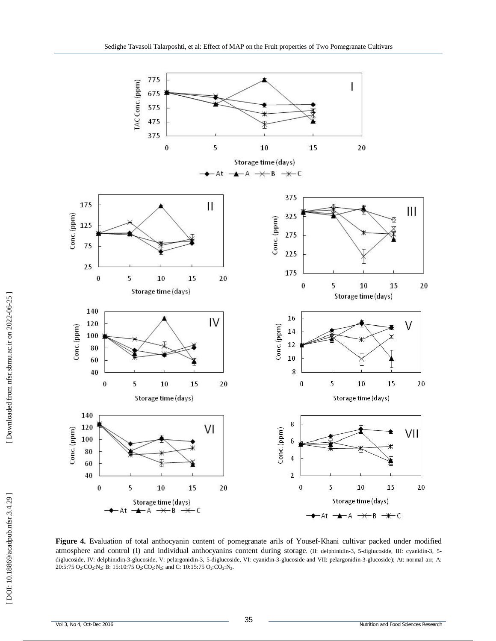

**Figure 4 .** Evaluation of total anthocyanin content of pomegranate arils of Yousef-Khani cultivar packed under modified atmosphere and control (I) and individual anthocyanins content during storage. (II: delphinidin-3, 5-diglucoside, III: cyanidin-3, 5diglucoside, IV: delphinidin-3-glucoside, V: pelargonidin-3, 5-diglucoside, VI: cyanidin-3-glucoside and VII: pelargonidin-3-glucoside); At: normal air; A:  $20:5:75 \text{ O}_2:\text{CO}_2:\text{N}_2$ ; B: 15:10:75  $\text{O}_2:\text{CO}_2:\text{N}_2$ ; and C: 10:15:75  $\text{O}_2:\text{CO}_2:\text{N}_2$ .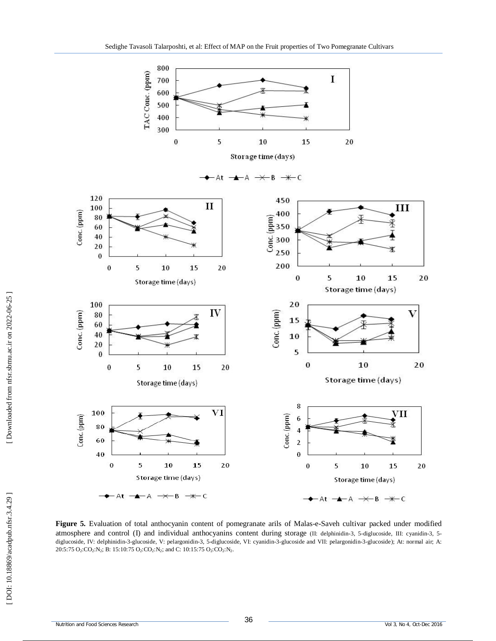

Figure 5. Evaluation of total anthocyanin content of pomegranate arils of Malas-e-Saveh cultivar packed under modified atmosphere and control (I) and individual anthocyanins content during storage (II: delphinidin-3, 5-diglucoside, III: cyanidin-3, 5diglucoside, IV: delphinidin-3-glucoside, V: pelargonidin-3, 5-diglucoside, VI: cyanidin-3-glucoside and VII: pelargonidin-3-glucoside); At: normal air; A:  $20:5:75 \text{ O}_2:\text{CO}_2:\text{N}_2$ ; B: 15:10:75  $\text{O}_2:\text{CO}_2:\text{N}_2$ ; and C: 10:15:75  $\text{O}_2:\text{CO}_2:\text{N}_2$ .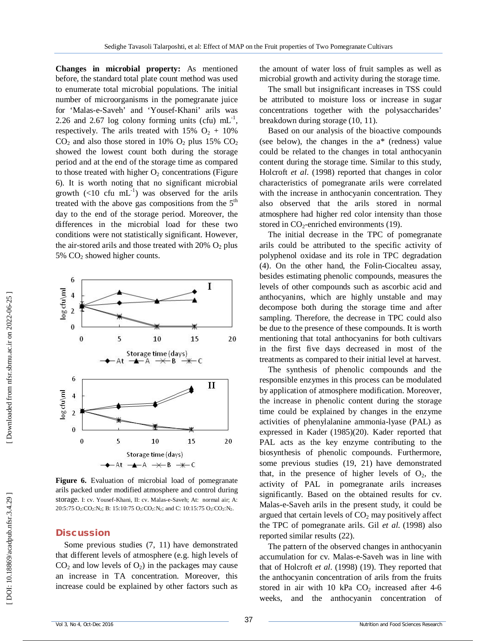**Changes in microbial property:** As mentioned before, the standard total plate count method was used to enumerate total microbial populations. The initial number of microorganisms in the pomegranate juice for 'Malas - e -Saveh' and 'Yousef-Khani' arils was 2.26 and 2.67 log colony forming units (cfu)  $mL^{-1}$ , respectively. The arils treated with  $15\%$  O<sub>2</sub> +  $10\%$  $CO<sub>2</sub>$  and also those stored in 10%  $O<sub>2</sub>$  plus 15%  $CO<sub>2</sub>$ showed the lowest count both during the storage period and at the end of the storage time as compared to those treated with higher  $O_2$  concentrations (Figure 6). It is worth noting that no significant microbial growth  $\left(\frac{10}{10} \text{ cm}^{-1}\right)$  was observed for the arils treated with the above gas compositions from the  $5<sup>th</sup>$ day to the end of the storage period. Moreover, the differences in the microbial load for these two conditions were not statistically significant. However, the air -stored arils and those treated with 20% O <sup>2</sup> plus 5% CO <sup>2</sup> showed higher counts.



**Figure 6 .** Evaluation of microbial load of pomegranate arils packed under modified atmosphere and control during storage. I: cv. Yousef-Khani, II: cv. Malas-e-Saveh; At: normal air; A: 20:5:75 O<sub>2</sub>:CO<sub>2</sub>:N<sub>2</sub>; B: 15:10:75 O<sub>2</sub>:CO<sub>2</sub>:N<sub>2</sub>; and C: 10:15:75 O<sub>2</sub>:CO<sub>2</sub>:N<sub>2</sub>.

#### **Discussion**

Some previous studies (7, 11) have demonstrated that different levels of atmosphere (e.g. high levels of  $CO<sub>2</sub>$  and low levels of  $O<sub>2</sub>$ ) in the packages may cause an increase in TA concentration. Moreover, this increase could be explained by other factors such as

the amount of water loss of fruit samples as well as microbial growth and activity during the storage time.

The small but insignificant increases in TSS could be attributed to moisture loss or increase in sugar concentrations together with the polysaccharides' breakdown during storage (10, 11).

Based on our analysis of the bioactive compounds (see below), the changes in the a\* (redness) value could be related to the changes in total anthocyanin content during the storage time. Similar to this study, Holcroft *et al*. (1998) reported that changes in color characteristics of pomegranate arils were correlated with the increase in anthocyanin concentration. They also observed that the arils stored in normal atmosphere had higher red color intensity than those stored in  $CO_2$ -enriched environments (19).

The initial decrease in the TPC of pomegranate arils could be attributed to the specific activity of polyphenol oxidase and its role in TPC degradation (4). On the other hand, the Folin -Ciocalteu assay, besides estimating phenolic compounds, measures the levels of other compounds such as ascorbic acid and anthocyanins, which are highly unstable and may decompose both during the storage time and after sampling. Therefore, the decrease in TPC could also be due to the presence of these compounds. It is worth mentioning that total anthocyanins for both cultivars in the first five days decreased in most of the treatments as compared to their initial level at harvest.

The synthesis of phenolic compounds and the responsible enzymes in this process can be modulated by application of atmosphere modification. Moreover, the increase in phenolic content during the storage time could be explained by changes in the enzyme activities of phenylalanine ammonia -lyase (PAL) as expressed in Kader (1985)(20). Kader reported that PAL acts as the key enzyme contributing to the biosynthesis of phenolic compounds. Furthermore, some previous studies (19, 21) have demonstrated that, in the presence of higher levels of  $O_2$ , the activity of PAL in pomegranate arils increases significantly. Based on the obtained results for cv. Malas - e -Saveh arils in the present study, it could be argued that certain levels of CO <sup>2</sup> may positively affect the TPC of pomegranate arils. Gil *et al* . (1998) also reported similar results (22).

The pattern of the observed changes in anthocyanin accumulation for cv . Malas - e -Saveh was in line with that of Holcroft *et al*. (1998) (19). They reported that the anthocyanin concentration of arils from the fruits stored in air with 10 kPa CO<sub>2</sub> increased after 4-6 weeks, and the anthocyanin concentration of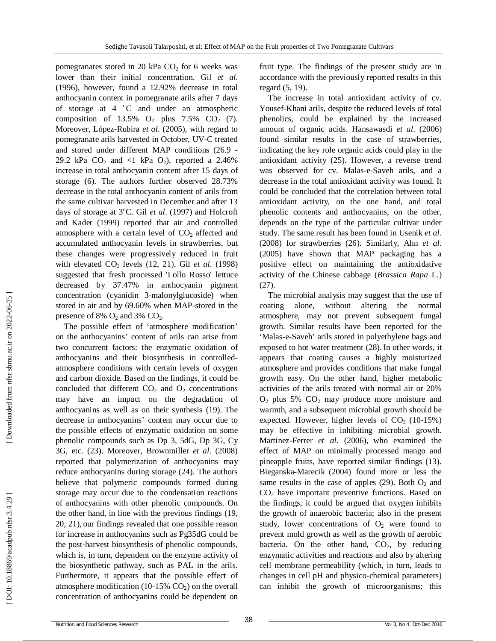pomegranates stored in 20 kPa  $CO<sub>2</sub>$  for 6 weeks was lower than their initial concentration. Gil *et al*. (1996), however, found a 12.92% decrease in total anthocyanin content in pomegranate arils after 7 days of storage at 4 °C and under an atmospheric composition of 13.5%  $O_2$  plus 7.5%  $CO_2$  (7). Moreover, López -Rubira *et al*. (2005), with regard to pomegranate arils harvested in October, UV -C treated and stored under different MAP conditions (26.9 - 29.2 kPa  $CO<sub>2</sub>$  and  $\langle$ 1 kPa  $O<sub>2</sub>$ ), reported a 2.46% increase in total anthocyanin content after 15 days of storage (6). The authors further observed 28.73% decrease in the total anthocyanin content of arils from the same cultivar harvested in December and after 13 days of storage at 3°C. Gil et al. (1997) and Holcroft and Kader (1999) reported that air and controlled atmosphere with a certain level of  $CO<sub>2</sub>$  affected and accumulated anthocyanin levels in strawberries, but these changes were progressively reduced in fruit with elevated CO <sup>2</sup> levels (12, 21). Gil *et al*. (1998) suggested that fresh processed 'Lollo Rosso' lettuce decreased by 37.47% in anthocyanin pigment concentration (cyanidin 3 -malonylglucoside) when stored in air and by 69.60% when MAP -stored in the presence of  $8\%$  O<sub>2</sub> and  $3\%$  CO<sub>2</sub>.

The possible effect of 'atmosphere modification' on the anthocyanins' content of arils can arise from two concurrent factors: the enzymatic oxidation of anthocyanins and their biosynthesis in controlled atmosphere conditions with certain levels of oxygen and carbon dioxide. Based on the findings, it could be concluded that different  $CO<sub>2</sub>$  and  $O<sub>2</sub>$  concentrations may have an impact on the degradation of anthocyanins as well as on their synthesis (19). The decrease in anthocyanins' content may occur due to the possible effects of enzymatic oxidation on some phenolic compounds such as Dp 3, 5dG, Dp 3G, Cy 3G, etc. (23). Moreover, Brownmiller *et al*. (2008) reported that polymerization of anthocyanins may reduce anthocyanins during storage (24). The authors believe that polymeric compounds formed during storage may occur due to the condensation reactions of anthocyanins with other phenolic compounds. On the other hand, in line with the previous findings (19, 20, 21), our findings revealed that one possible reason for increase in anthocyanins such as Pg35dG could be the post -harvest biosynthesis of phenolic compounds, which is, in turn, dependent on the enzyme activity of the biosynthetic pathway, such as PAL in the arils. Furthermore, it appears that the possible effect of atmosphere modification (10 -15% CO <sup>2</sup>) on the overall concentration of anthocyanins could be dependent on

fruit type. The findings of the present study are in accordance with the previously reported results in this regard (5, 19).

The increase in total antioxidant activity of cv. Yousef-Khani arils, despite the reduced levels of total phenolics, could be explained by the increased amount of organic acids. Hansawasdi *et al*. (2006) found similar results in the case of strawberries, indicating the key role organic acids could play in the antioxidant activity (25). However, a reverse trend was observed for cv. Malas - e -Saveh arils, and a decrease in the total antioxidant activity was found. It could be concluded that the correlation between total antioxidant activity, on the one hand, and total phenolic contents and anthocyanins, on the other, depends on the type of the particular cultivar under study. The same result has been found in Usenik *et al*. (2008) for strawberries (26). Similarly, Ahn *et al*. (2005) have shown that MAP packaging has a positive effect on maintaining the antioxidative activity of the Chinese cabbage (*Brassica Rapa* L.) (27).

The microbial analysis may suggest that the use of coating alone, without altering the normal atmosphere, may not prevent subsequent fungal growth. Similar results have been reported for the 'Malas - e -Saveh' arils stored in polyethylene bags and exposed to hot water treatment (28). In other words, it appears that coating causes a highly moisturized atmosphere and provides conditions that make fungal growth easy. On the other hand, higher metabolic activities of the arils treated with normal air or 20%  $O_2$  plus 5%  $CO_2$  may produce more moisture and warmth, and a subsequent microbial growth should be expected. However, higher levels of  $CO<sub>2</sub>$  (10-15%) may be effective in inhibiting microbial growth. Martinez -Ferrer *et al*. (2006), who examined the effect of MAP on minimally processed mango and pineapple fruits, have reported similar findings (13). Bieganska -Marecik (2004) found more or less the same results in the case of apples  $(29)$ . Both  $O<sub>2</sub>$  and CO <sup>2</sup> have important preventive functions. Based on the findings, it could be argued that oxygen inhibits the growth of anaerobic bacteria; also in the present study, lower concentrations of  $O_2$  were found to prevent mold growth as well as the growth of aerobic bacteria. On the other hand,  $CO<sub>2</sub>$ , by reducing enzymatic activities and reactions and also by altering cell membrane permeability (which, in turn, leads to changes in cell pH and physico -chemical parameters) can inhibit the growth of microorganisms; this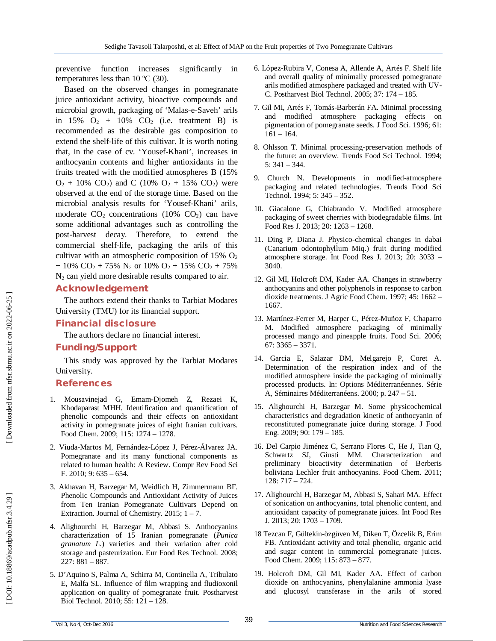preventive function increases significantly in temperatures less than  $10 \degree C$  (30).

Based on the observed changes in pomegranate juice antioxidant activity, bioactive compounds and microbial growth, packaging of 'Malas - e -Saveh' arils in 15%  $O_2$  + 10%  $CO_2$  (i.e. treatment B) is recommended as the desirable gas composition to extend the shelf-life of this cultivar. It is worth noting that, in the case of cv. 'Yousef-Khani', increases in anthocyanin contents and higher antioxidants in the fruits treated with the modified atmospheres B (15%  $O_2$  + 10%  $CO_2$ ) and C (10%  $O_2$  + 15%  $CO_2$ ) were observed at the end of the storage time. Based on the microbial analysis results for 'Yousef-Khani' arils, moderate  $CO_2$  concentrations (10%  $CO_2$ ) can have some additional advantages such as controlling the post -harvest decay. Therefore, to extend the commercial shelf-life, packaging the arils of this cultivar with an atmospheric composition of  $15\%$  O<sub>2</sub>  $+ 10\%$  CO<sub>2</sub> + 75% N<sub>2</sub> or 10% O<sub>2</sub> + 15% CO<sub>2</sub> + 75% N <sup>2</sup> can yield more desirable results compared to air.

#### **Acknowledgement**

The authors extend their thanks to Tarbiat Modares University (TMU) for its financial support.

#### **Financial disclosure**

The authors declare no financial interest.

#### **Funding/Support**

This study was approved by the Tarbiat Modares University .

### **References**

- 1. Mousavinejad G, Emam -Djomeh Z, Rezaei K, Khodaparast MHH. Identification and quantification of phenolic compounds and their effects on antioxidant activity in pomegranate juices of eight Iranian cultivars. Food Chem. 2009; 115: 1274 – 1278.
- 2. Viuda -Martos M, Fernández -López J, Pérez -Álvarez JA. Pomegranate and its many functional components as related to human health: A Review. Compr Rev Food Sci F. 2010; 9: 635 – 654.
- 3. Akhavan H, Barzegar M, Weidlich H, Zimmermann BF. Phenolic Compounds and Antioxidant Activity of Juices from Ten Iranian Pomegranate Cultivars Depend on Extraction. Journal of Chemistry. 2015; 1 – 7.
- 4. Alighourchi H, Barzegar M, Abbasi S. Anthocyanins characterization of 15 Iranian pomegranate (*Punica granatum L.*) varieties and their variation after cold storage and pasteurization. Eur Food Res Technol. 2008; 227: 881 – 887.
- 5. D'Aquino S, Palma A, Schirra M, Continella A, Tribulato E, Malfa SL. Influence of film wrapping and fludioxonil application on quality of pomegranate fruit. Postharvest Biol Technol. 2010; 55: 121 – 128.
- 6. López -Rubira V, Conesa A, Allende A, Artés F. Shelf life and overall quality of minimally processed pomegranate arils modified atmosphere packaged and treated with UV - C. Postharvest Biol Technol. 2005; 37: 174 – 185.
- 7. Gil MI, Artés F, Tomás -Barberán FA. Minimal processing and modified atmosphere packaging effects on pigmentation of pomegranate seeds. J Food Sci. 1996; 61: 161 – 164.
- 8. Ohlsson T. Minimal processing -preservation methods of the future: an overview. Trends Food Sci Technol. 1994; 5: 341 – 344.
- 9. Church N. Developments in modified -atmosphere packaging and related technologies. Trends Food Sci Technol. 1994; 5: 345 – 352.
- 10. Giacalone G, Chiabrando V. Modified atmosphere packaging of sweet cherries with biodegradable films. Int Food Res J. 2013; 20: 1263 – 1268.
- 11. Ding P, Diana J. Physico -chemical changes in dabai (Canarium odontophyllum Miq.) fruit during modified atmosphere storage. Int Food Res J. 2013; 20: 3033 – 3040.
- 12. Gil MI, Holcroft DM, Kader AA. Changes in strawberry anthocyanins and other polyphenols in response to carbon dioxide treatments. J Agric Food Chem. 1997; 45: 1662 – 1667.
- 13. Martínez -Ferrer M, Harper C, Pérez -Muñoz F, Chaparro M. Modified atmosphere packaging of minimally processed mango and pineapple fruits. Food Sci. 2006; 67: 3365 – 3371.
- 14. Garcia E, Salazar DM, Melgarejo P, Coret A. Determination of the respiration index and of the modified atmosphere inside the packaging of minimally processed products. In: Options Méditerranéennes. Série A, Séminaires Méditerranéens. 2000; p. 247 – 51.
- 15. Alighourchi H, Barzegar M. Some physicochemical characteristics and degradation kinetic of anthocyanin of reconstituted pomegranate juice during storage. J Food Eng. 2009; 90: 179 – 185.
- 16. Del Carpio Jiménez C, Serrano Flores C, He J, Tian Q, Schwartz SJ, Giusti MM. Characterization and preliminary bioactivity determination of Berberis boliviana Lechler fruit anthocyanins. Food Chem. 2011; 128: 717 – 724.
- 17. Alighourchi H, Barzegar M, Abbasi S, Sahari MA. Effect of sonication on anthocyanins, total phenolic content, and antioxidant capacity of pomegranate juices. Int Food Res J. 2013; 20: 1703 – 1709.
- 18 Tezcan F, Gültekin -özgüven M, Diken T, Özcelik B, Erim FB. Antioxidant activity and total phenolic, organic acid and sugar content in commercial pomegranate juices. Food Chem. 2009; 115: 873 – 877.
- 19. Holcroft DM, Gil MI, Kader AA. Effect of carbon dioxide on anthocyanins, phenylalanine ammonia lyase and glucosyl transferase in the arils of stored

DOI: 10.18869/acadpub.nfsr.3.4.29